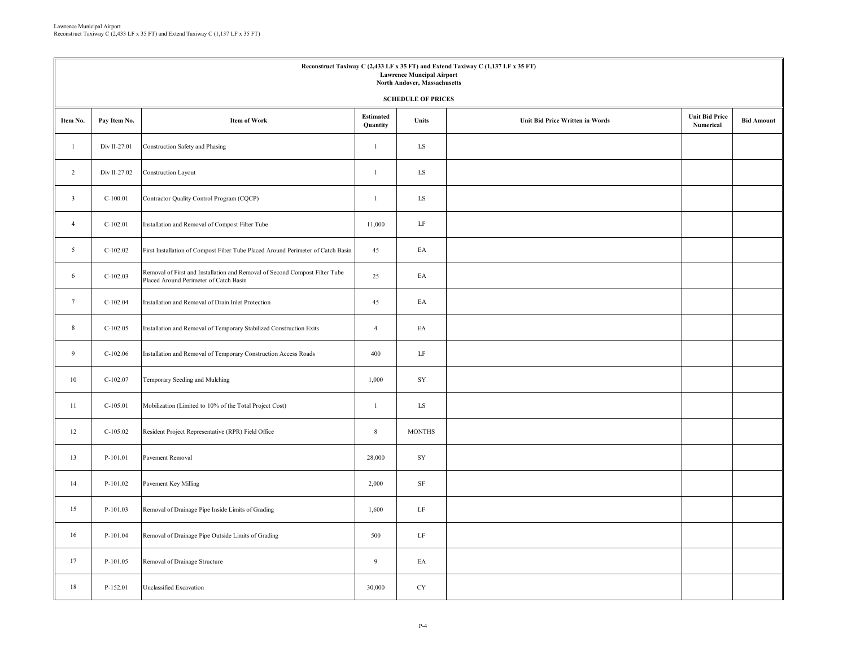| Reconstruct Taxiway C (2,433 LF x 35 FT) and Extend Taxiway C (1,137 LF x 35 FT)<br><b>Lawrence Muncipal Airport</b><br>North Andover, Massachusetts |                           |                                                                                                                       |                              |               |                                        |                                    |                   |  |  |  |  |  |
|------------------------------------------------------------------------------------------------------------------------------------------------------|---------------------------|-----------------------------------------------------------------------------------------------------------------------|------------------------------|---------------|----------------------------------------|------------------------------------|-------------------|--|--|--|--|--|
|                                                                                                                                                      | <b>SCHEDULE OF PRICES</b> |                                                                                                                       |                              |               |                                        |                                    |                   |  |  |  |  |  |
| Item No.                                                                                                                                             | Pay Item No.              | <b>Item of Work</b>                                                                                                   | <b>Estimated</b><br>Quantity | Units         | <b>Unit Bid Price Written in Words</b> | <b>Unit Bid Price</b><br>Numerical | <b>Bid Amount</b> |  |  |  |  |  |
| $\mathbf{1}$                                                                                                                                         | Div II-27.01              | Construction Safety and Phasing                                                                                       | $\mathbf{1}$                 | LS            |                                        |                                    |                   |  |  |  |  |  |
| 2                                                                                                                                                    | Div II-27.02              | <b>Construction Layout</b>                                                                                            | $\mathbf{1}$                 | LS            |                                        |                                    |                   |  |  |  |  |  |
| $\overline{3}$                                                                                                                                       | $C-100.01$                | Contractor Quality Control Program (CQCP)                                                                             | $\mathbf{1}$                 | LS            |                                        |                                    |                   |  |  |  |  |  |
| $\overline{4}$                                                                                                                                       | $C-102.01$                | Installation and Removal of Compost Filter Tube                                                                       | 11,000                       | LF            |                                        |                                    |                   |  |  |  |  |  |
| $\mathfrak{S}$                                                                                                                                       | $C-102.02$                | First Installation of Compost Filter Tube Placed Around Perimeter of Catch Basin                                      | 45                           | EA            |                                        |                                    |                   |  |  |  |  |  |
| 6                                                                                                                                                    | $C-102.03$                | Removal of First and Installation and Removal of Second Compost Filter Tube<br>Placed Around Perimeter of Catch Basin | 25                           | EA            |                                        |                                    |                   |  |  |  |  |  |
| $7\phantom{.0}$                                                                                                                                      | $C-102.04$                | Installation and Removal of Drain Inlet Protection                                                                    | 45                           | EA            |                                        |                                    |                   |  |  |  |  |  |
| $8\phantom{.0}$                                                                                                                                      | $C-102.05$                | Installation and Removal of Temporary Stabilized Construction Exits                                                   | $\overline{4}$               | EA            |                                        |                                    |                   |  |  |  |  |  |
| 9                                                                                                                                                    | $C-102.06$                | Installation and Removal of Temporary Construction Access Roads                                                       | 400                          | LF            |                                        |                                    |                   |  |  |  |  |  |
| 10                                                                                                                                                   | $C-102.07$                | Temporary Seeding and Mulching                                                                                        | 1,000                        | SY            |                                        |                                    |                   |  |  |  |  |  |
| 11                                                                                                                                                   | $C-105.01$                | Mobilization (Limited to 10% of the Total Project Cost)                                                               | $\mathbf{1}$                 | LS            |                                        |                                    |                   |  |  |  |  |  |
| 12                                                                                                                                                   | $C-105.02$                | Resident Project Representative (RPR) Field Office                                                                    | 8                            | <b>MONTHS</b> |                                        |                                    |                   |  |  |  |  |  |
| 13                                                                                                                                                   | P-101.01                  | Pavement Removal                                                                                                      | 28,000                       | SY            |                                        |                                    |                   |  |  |  |  |  |
| 14                                                                                                                                                   | P-101.02                  | Pavement Key Milling                                                                                                  | 2,000                        | $\rm SF$      |                                        |                                    |                   |  |  |  |  |  |
| 15                                                                                                                                                   | P-101.03                  | Removal of Drainage Pipe Inside Limits of Grading                                                                     | 1,600                        | LF            |                                        |                                    |                   |  |  |  |  |  |
| 16                                                                                                                                                   | P-101.04                  | Removal of Drainage Pipe Outside Limits of Grading                                                                    | 500                          | $\rm LF$      |                                        |                                    |                   |  |  |  |  |  |
| 17                                                                                                                                                   | P-101.05                  | Removal of Drainage Structure                                                                                         | $\overline{9}$               | EA            |                                        |                                    |                   |  |  |  |  |  |
| 18                                                                                                                                                   | P-152.01                  | Unclassified Excavation                                                                                               | 30,000                       | <b>CY</b>     |                                        |                                    |                   |  |  |  |  |  |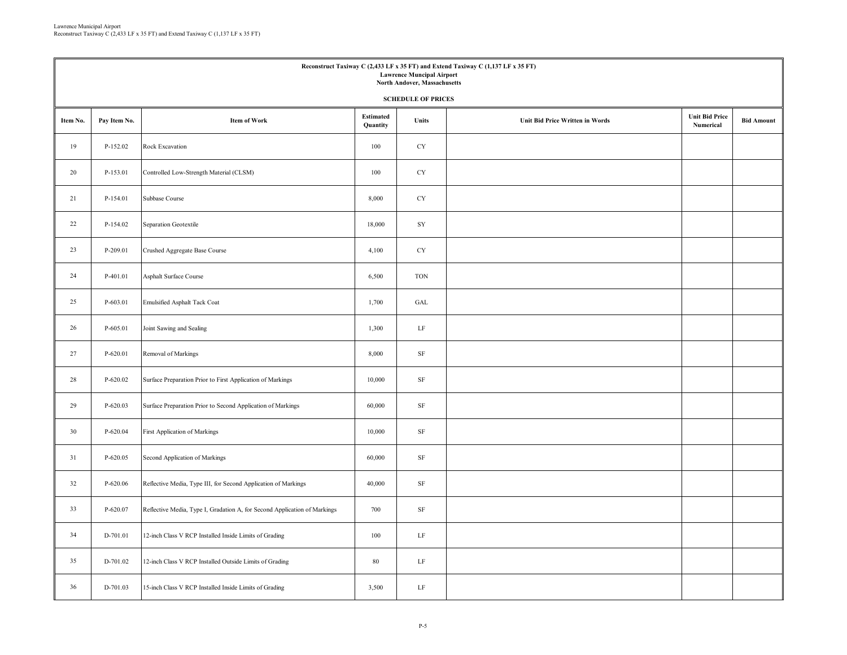| Reconstruct Taxiway C (2,433 LF x 35 FT) and Extend Taxiway C (1,137 LF x 35 FT)<br><b>Lawrence Muncipal Airport</b><br>North Andover, Massachusetts |              |                                                                           |                              |                      |                                 |                                    |                   |  |  |  |  |
|------------------------------------------------------------------------------------------------------------------------------------------------------|--------------|---------------------------------------------------------------------------|------------------------------|----------------------|---------------------------------|------------------------------------|-------------------|--|--|--|--|
| <b>SCHEDULE OF PRICES</b>                                                                                                                            |              |                                                                           |                              |                      |                                 |                                    |                   |  |  |  |  |
| Item No.                                                                                                                                             | Pay Item No. | <b>Item of Work</b>                                                       | <b>Estimated</b><br>Quantity | Units                | Unit Bid Price Written in Words | <b>Unit Bid Price</b><br>Numerical | <b>Bid Amount</b> |  |  |  |  |
| 19                                                                                                                                                   | P-152.02     | Rock Excavation                                                           | 100                          | <b>CY</b>            |                                 |                                    |                   |  |  |  |  |
| 20                                                                                                                                                   | P-153.01     | Controlled Low-Strength Material (CLSM)                                   | 100                          | <b>CY</b>            |                                 |                                    |                   |  |  |  |  |
| 21                                                                                                                                                   | P-154.01     | Subbase Course                                                            | 8,000                        | CY                   |                                 |                                    |                   |  |  |  |  |
| 22                                                                                                                                                   | P-154.02     | Separation Geotextile                                                     | 18,000                       | ${\rm SY}$           |                                 |                                    |                   |  |  |  |  |
| 23                                                                                                                                                   | P-209.01     | Crushed Aggregate Base Course                                             | 4,100                        | <b>CY</b>            |                                 |                                    |                   |  |  |  |  |
| 24                                                                                                                                                   | P-401.01     | Asphalt Surface Course                                                    | 6,500                        | <b>TON</b>           |                                 |                                    |                   |  |  |  |  |
| 25                                                                                                                                                   | P-603.01     | Emulsified Asphalt Tack Coat                                              | 1,700                        | $\operatorname{GAL}$ |                                 |                                    |                   |  |  |  |  |
| 26                                                                                                                                                   | P-605.01     | Joint Sawing and Sealing                                                  | 1,300                        | $\rm LF$             |                                 |                                    |                   |  |  |  |  |
| 27                                                                                                                                                   | P-620.01     | Removal of Markings                                                       | 8,000                        | $\rm SF$             |                                 |                                    |                   |  |  |  |  |
| 28                                                                                                                                                   | P-620.02     | Surface Preparation Prior to First Application of Markings                | 10,000                       | $\rm SF$             |                                 |                                    |                   |  |  |  |  |
| 29                                                                                                                                                   | $P-620.03$   | Surface Preparation Prior to Second Application of Markings               | 60,000                       | $\rm SF$             |                                 |                                    |                   |  |  |  |  |
| 30                                                                                                                                                   | P-620.04     | First Application of Markings                                             | 10,000                       | $\rm SF$             |                                 |                                    |                   |  |  |  |  |
| 31                                                                                                                                                   | P-620.05     | Second Application of Markings                                            | 60,000                       | $\rm SF$             |                                 |                                    |                   |  |  |  |  |
| 32                                                                                                                                                   | $P-620.06$   | Reflective Media, Type III, for Second Application of Markings            | 40,000                       | $\rm SF$             |                                 |                                    |                   |  |  |  |  |
| 33                                                                                                                                                   | P-620.07     | Reflective Media, Type I, Gradation A, for Second Application of Markings | 700                          | $\rm{SF}$            |                                 |                                    |                   |  |  |  |  |
| 34                                                                                                                                                   | D-701.01     | 12-inch Class V RCP Installed Inside Limits of Grading                    | 100                          | $\rm LF$             |                                 |                                    |                   |  |  |  |  |
| 35                                                                                                                                                   | D-701.02     | 12-inch Class V RCP Installed Outside Limits of Grading                   | $80\,$                       | LF                   |                                 |                                    |                   |  |  |  |  |
| 36                                                                                                                                                   | D-701.03     | 15-inch Class V RCP Installed Inside Limits of Grading                    | 3,500                        | $\rm LF$             |                                 |                                    |                   |  |  |  |  |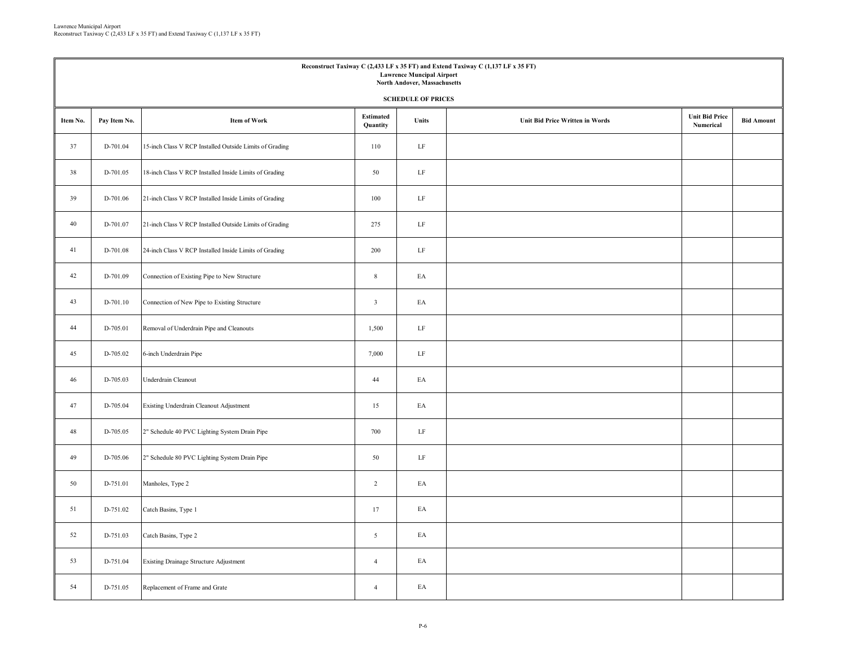| Reconstruct Taxiway C (2,433 LF x 35 FT) and Extend Taxiway C (1,137 LF x 35 FT)<br><b>Lawrence Muncipal Airport</b><br>North Andover, Massachusetts<br><b>SCHEDULE OF PRICES</b> |                                                                                                                                                                                   |                                                         |                |          |  |  |  |  |  |  |
|-----------------------------------------------------------------------------------------------------------------------------------------------------------------------------------|-----------------------------------------------------------------------------------------------------------------------------------------------------------------------------------|---------------------------------------------------------|----------------|----------|--|--|--|--|--|--|
| Item No.                                                                                                                                                                          | <b>Unit Bid Price</b><br><b>Estimated</b><br><b>Item of Work</b><br><b>Unit Bid Price Written in Words</b><br><b>Bid Amount</b><br>Pay Item No.<br>Units<br>Numerical<br>Quantity |                                                         |                |          |  |  |  |  |  |  |
| 37                                                                                                                                                                                | D-701.04                                                                                                                                                                          | 15-inch Class V RCP Installed Outside Limits of Grading | 110            | LF       |  |  |  |  |  |  |
| 38                                                                                                                                                                                | D-701.05                                                                                                                                                                          | 18-inch Class V RCP Installed Inside Limits of Grading  | 50             | LF       |  |  |  |  |  |  |
| 39                                                                                                                                                                                | D-701.06                                                                                                                                                                          | 21-inch Class V RCP Installed Inside Limits of Grading  | 100            | $\rm LF$ |  |  |  |  |  |  |
| 40                                                                                                                                                                                | D-701.07                                                                                                                                                                          | 21-inch Class V RCP Installed Outside Limits of Grading | 275            | $\rm LF$ |  |  |  |  |  |  |
| 41                                                                                                                                                                                | D-701.08                                                                                                                                                                          | 24-inch Class V RCP Installed Inside Limits of Grading  | 200            | $\rm LF$ |  |  |  |  |  |  |
| 42                                                                                                                                                                                | D-701.09                                                                                                                                                                          | Connection of Existing Pipe to New Structure            | $8\,$          | EA       |  |  |  |  |  |  |
| 43                                                                                                                                                                                | D-701.10                                                                                                                                                                          | Connection of New Pipe to Existing Structure            | $\overline{3}$ | EA       |  |  |  |  |  |  |
| 44                                                                                                                                                                                | D-705.01                                                                                                                                                                          | Removal of Underdrain Pipe and Cleanouts                | 1,500          | $\rm LF$ |  |  |  |  |  |  |
| 45                                                                                                                                                                                | D-705.02                                                                                                                                                                          | 6-inch Underdrain Pipe                                  | 7,000          | $\rm LF$ |  |  |  |  |  |  |
| 46                                                                                                                                                                                | D-705.03                                                                                                                                                                          | Underdrain Cleanout                                     | 44             | EA       |  |  |  |  |  |  |
| 47                                                                                                                                                                                | D-705.04                                                                                                                                                                          | Existing Underdrain Cleanout Adjustment                 | 15             | EA       |  |  |  |  |  |  |
| 48                                                                                                                                                                                | D-705.05                                                                                                                                                                          | 2" Schedule 40 PVC Lighting System Drain Pipe           | 700            | LF       |  |  |  |  |  |  |
| 49                                                                                                                                                                                | D-705.06                                                                                                                                                                          | 2" Schedule 80 PVC Lighting System Drain Pipe           | 50             | $\rm LF$ |  |  |  |  |  |  |
| 50                                                                                                                                                                                | D-751.01                                                                                                                                                                          | Manholes, Type 2                                        | $\overline{2}$ | EA       |  |  |  |  |  |  |
| 51                                                                                                                                                                                | D-751.02                                                                                                                                                                          | Catch Basins, Type 1                                    | 17             | EA       |  |  |  |  |  |  |
| 52                                                                                                                                                                                | D-751.03                                                                                                                                                                          | Catch Basins, Type 2                                    | 5              | EA       |  |  |  |  |  |  |
| 53                                                                                                                                                                                | D-751.04                                                                                                                                                                          | Existing Drainage Structure Adjustment                  | $\overline{4}$ | EA       |  |  |  |  |  |  |
| 54                                                                                                                                                                                | D-751.05                                                                                                                                                                          | Replacement of Frame and Grate                          | $\overline{4}$ | EA       |  |  |  |  |  |  |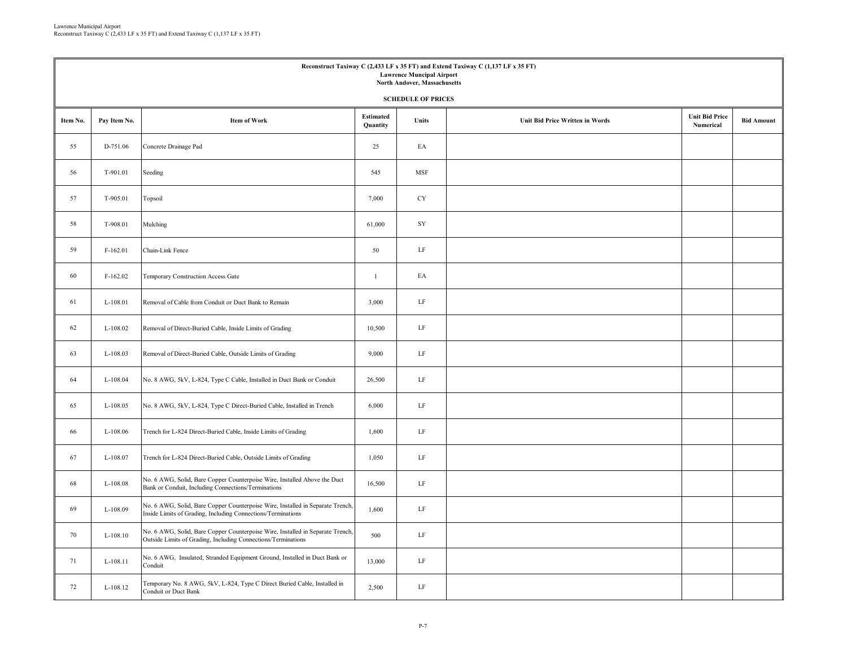| Reconstruct Taxiway C (2,433 LF x 35 FT) and Extend Taxiway C (1,137 LF x 35 FT)<br><b>Lawrence Muncipal Airport</b><br>North Andover, Massachusetts |                           |                                                                                                                                                 |                              |              |                                        |                                    |                   |  |  |  |  |  |
|------------------------------------------------------------------------------------------------------------------------------------------------------|---------------------------|-------------------------------------------------------------------------------------------------------------------------------------------------|------------------------------|--------------|----------------------------------------|------------------------------------|-------------------|--|--|--|--|--|
|                                                                                                                                                      | <b>SCHEDULE OF PRICES</b> |                                                                                                                                                 |                              |              |                                        |                                    |                   |  |  |  |  |  |
| Item No.                                                                                                                                             | Pay Item No.              | <b>Item of Work</b>                                                                                                                             | <b>Estimated</b><br>Quantity | <b>Units</b> | <b>Unit Bid Price Written in Words</b> | <b>Unit Bid Price</b><br>Numerical | <b>Bid Amount</b> |  |  |  |  |  |
| 55                                                                                                                                                   | D-751.06                  | Concrete Drainage Pad                                                                                                                           | 25                           | EA           |                                        |                                    |                   |  |  |  |  |  |
| 56                                                                                                                                                   | T-901.01                  | Seeding                                                                                                                                         | 545                          | <b>MSF</b>   |                                        |                                    |                   |  |  |  |  |  |
| 57                                                                                                                                                   | T-905.01                  | Topsoil                                                                                                                                         | 7,000                        | <b>CY</b>    |                                        |                                    |                   |  |  |  |  |  |
| 58                                                                                                                                                   | T-908.01                  | Mulching                                                                                                                                        | 61,000                       | SY           |                                        |                                    |                   |  |  |  |  |  |
| 59                                                                                                                                                   | F-162.01                  | Chain-Link Fence                                                                                                                                | 50                           | LF           |                                        |                                    |                   |  |  |  |  |  |
| 60                                                                                                                                                   | $F-162.02$                | Temporary Construction Access Gate                                                                                                              | $\mathbf{1}$                 | EA           |                                        |                                    |                   |  |  |  |  |  |
| 61                                                                                                                                                   | L-108.01                  | Removal of Cable from Conduit or Duct Bank to Remain                                                                                            | 3,000                        | $\rm LF$     |                                        |                                    |                   |  |  |  |  |  |
| 62                                                                                                                                                   | L-108.02                  | Removal of Direct-Buried Cable, Inside Limits of Grading                                                                                        | 10,500                       | $\rm LF$     |                                        |                                    |                   |  |  |  |  |  |
| 63                                                                                                                                                   | L-108.03                  | Removal of Direct-Buried Cable, Outside Limits of Grading                                                                                       | 9,000                        | LF           |                                        |                                    |                   |  |  |  |  |  |
| 64                                                                                                                                                   | L-108.04                  | No. 8 AWG, 5kV, L-824, Type C Cable, Installed in Duct Bank or Conduit                                                                          | 26,500                       | LF           |                                        |                                    |                   |  |  |  |  |  |
| 65                                                                                                                                                   | L-108.05                  | No. 8 AWG, 5kV, L-824, Type C Direct-Buried Cable, Installed in Trench                                                                          | 6,000                        | LF           |                                        |                                    |                   |  |  |  |  |  |
| 66                                                                                                                                                   | L-108.06                  | Trench for L-824 Direct-Buried Cable, Inside Limits of Grading                                                                                  | 1,600                        | $\rm LF$     |                                        |                                    |                   |  |  |  |  |  |
| 67                                                                                                                                                   | L-108.07                  | Trench for L-824 Direct-Buried Cable, Outside Limits of Grading                                                                                 | 1,050                        | LF           |                                        |                                    |                   |  |  |  |  |  |
| 68                                                                                                                                                   | L-108.08                  | No. 6 AWG, Solid, Bare Copper Counterpoise Wire, Installed Above the Duct<br>Bank or Conduit, Including Connections/Terminations                | 16,500                       | LF           |                                        |                                    |                   |  |  |  |  |  |
| 69                                                                                                                                                   | L-108.09                  | No. 6 AWG, Solid, Bare Copper Counterpoise Wire, Installed in Separate Trench,<br>Inside Limits of Grading, Including Connections/Terminations  | 1,600                        | $\rm LF$     |                                        |                                    |                   |  |  |  |  |  |
| 70                                                                                                                                                   | L-108.10                  | No. 6 AWG, Solid, Bare Copper Counterpoise Wire, Installed in Separate Trench,<br>Outside Limits of Grading, Including Connections/Terminations | 500                          | $\rm LF$     |                                        |                                    |                   |  |  |  |  |  |
| 71                                                                                                                                                   | L-108.11                  | No. 6 AWG, Insulated, Stranded Equipment Ground, Installed in Duct Bank or<br>Conduit                                                           | 13,000                       | LF           |                                        |                                    |                   |  |  |  |  |  |
| 72                                                                                                                                                   | L-108.12                  | Temporary No. 8 AWG, 5kV, L-824, Type C Direct Buried Cable, Installed in<br>Conduit or Duct Bank                                               | 2,500                        | LF           |                                        |                                    |                   |  |  |  |  |  |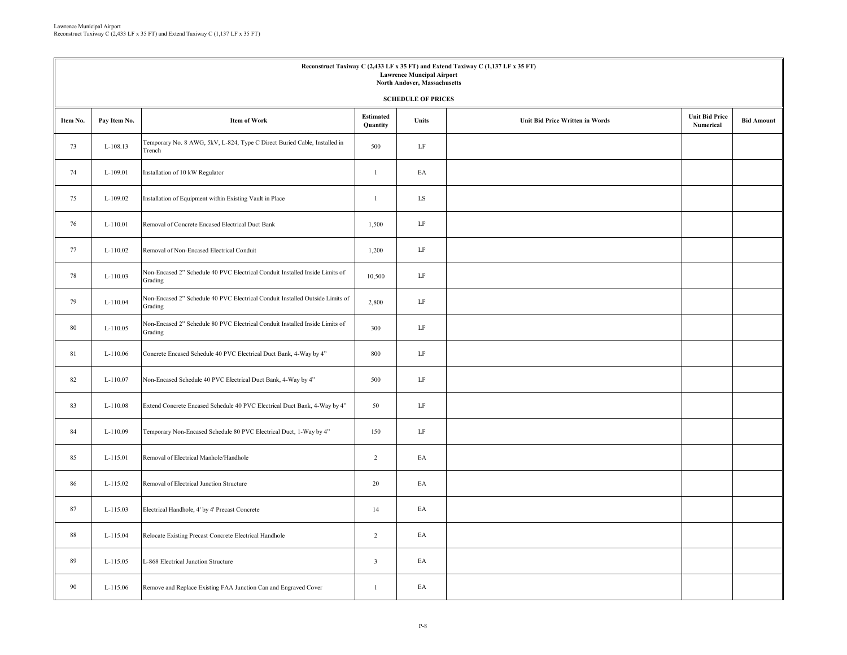| Reconstruct Taxiway C (2,433 LF x 35 FT) and Extend Taxiway C (1,137 LF x 35 FT)<br><b>Lawrence Muncipal Airport</b><br>North Andover, Massachusetts<br><b>SCHEDULE OF PRICES</b> |              |                                                                                          |                              |           |                                        |                                    |                   |  |  |  |
|-----------------------------------------------------------------------------------------------------------------------------------------------------------------------------------|--------------|------------------------------------------------------------------------------------------|------------------------------|-----------|----------------------------------------|------------------------------------|-------------------|--|--|--|
| Item No.                                                                                                                                                                          | Pay Item No. | <b>Item of Work</b>                                                                      | <b>Estimated</b><br>Quantity | Units     | <b>Unit Bid Price Written in Words</b> | <b>Unit Bid Price</b><br>Numerical | <b>Bid Amount</b> |  |  |  |
| 73                                                                                                                                                                                | L-108.13     | Temporary No. 8 AWG, 5kV, L-824, Type C Direct Buried Cable, Installed in<br>Trench      | 500                          | LF        |                                        |                                    |                   |  |  |  |
| 74                                                                                                                                                                                | L-109.01     | Installation of 10 kW Regulator                                                          | $\mathbf{1}$                 | EA        |                                        |                                    |                   |  |  |  |
| 75                                                                                                                                                                                | L-109.02     | Installation of Equipment within Existing Vault in Place                                 | $\mathbf{1}$                 | <b>LS</b> |                                        |                                    |                   |  |  |  |
| 76                                                                                                                                                                                | $L-110.01$   | Removal of Concrete Encased Electrical Duct Bank                                         | 1,500                        | $\rm LF$  |                                        |                                    |                   |  |  |  |
| 77                                                                                                                                                                                | L-110.02     | Removal of Non-Encased Electrical Conduit                                                | 1,200                        | LF        |                                        |                                    |                   |  |  |  |
| 78                                                                                                                                                                                | L-110.03     | Non-Encased 2" Schedule 40 PVC Electrical Conduit Installed Inside Limits of<br>Grading  | 10,500                       | LF        |                                        |                                    |                   |  |  |  |
| 79                                                                                                                                                                                | L-110.04     | Non-Encased 2" Schedule 40 PVC Electrical Conduit Installed Outside Limits of<br>Grading | 2,800                        | $\rm LF$  |                                        |                                    |                   |  |  |  |
| 80                                                                                                                                                                                | L-110.05     | Non-Encased 2" Schedule 80 PVC Electrical Conduit Installed Inside Limits of<br>Grading  | 300                          | $\rm LF$  |                                        |                                    |                   |  |  |  |
| 81                                                                                                                                                                                | L-110.06     | Concrete Encased Schedule 40 PVC Electrical Duct Bank, 4-Way by 4"                       | 800                          | LF        |                                        |                                    |                   |  |  |  |
| 82                                                                                                                                                                                | L-110.07     | Non-Encased Schedule 40 PVC Electrical Duct Bank, 4-Way by 4"                            | 500                          | $\rm LF$  |                                        |                                    |                   |  |  |  |
| 83                                                                                                                                                                                | L-110.08     | Extend Concrete Encased Schedule 40 PVC Electrical Duct Bank, 4-Way by 4"                | 50                           | LF        |                                        |                                    |                   |  |  |  |
| 84                                                                                                                                                                                | L-110.09     | Temporary Non-Encased Schedule 80 PVC Electrical Duct, 1-Way by 4"                       | 150                          | LF        |                                        |                                    |                   |  |  |  |
| 85                                                                                                                                                                                | L-115.01     | Removal of Electrical Manhole/Handhole                                                   | $\overline{2}$               | EA        |                                        |                                    |                   |  |  |  |
| 86                                                                                                                                                                                | L-115.02     | Removal of Electrical Junction Structure                                                 | 20                           | EA        |                                        |                                    |                   |  |  |  |
| 87                                                                                                                                                                                | L-115.03     | Electrical Handhole, 4' by 4' Precast Concrete                                           | 14                           | EA        |                                        |                                    |                   |  |  |  |
| 88                                                                                                                                                                                | L-115.04     | Relocate Existing Precast Concrete Electrical Handhole                                   | $\overline{c}$               | EA        |                                        |                                    |                   |  |  |  |
| 89                                                                                                                                                                                | L-115.05     | L-868 Electrical Junction Structure                                                      | $\overline{\mathbf{3}}$      | EA        |                                        |                                    |                   |  |  |  |
| 90                                                                                                                                                                                | L-115.06     | Remove and Replace Existing FAA Junction Can and Engraved Cover                          | $\mathbf{1}$                 | EA        |                                        |                                    |                   |  |  |  |